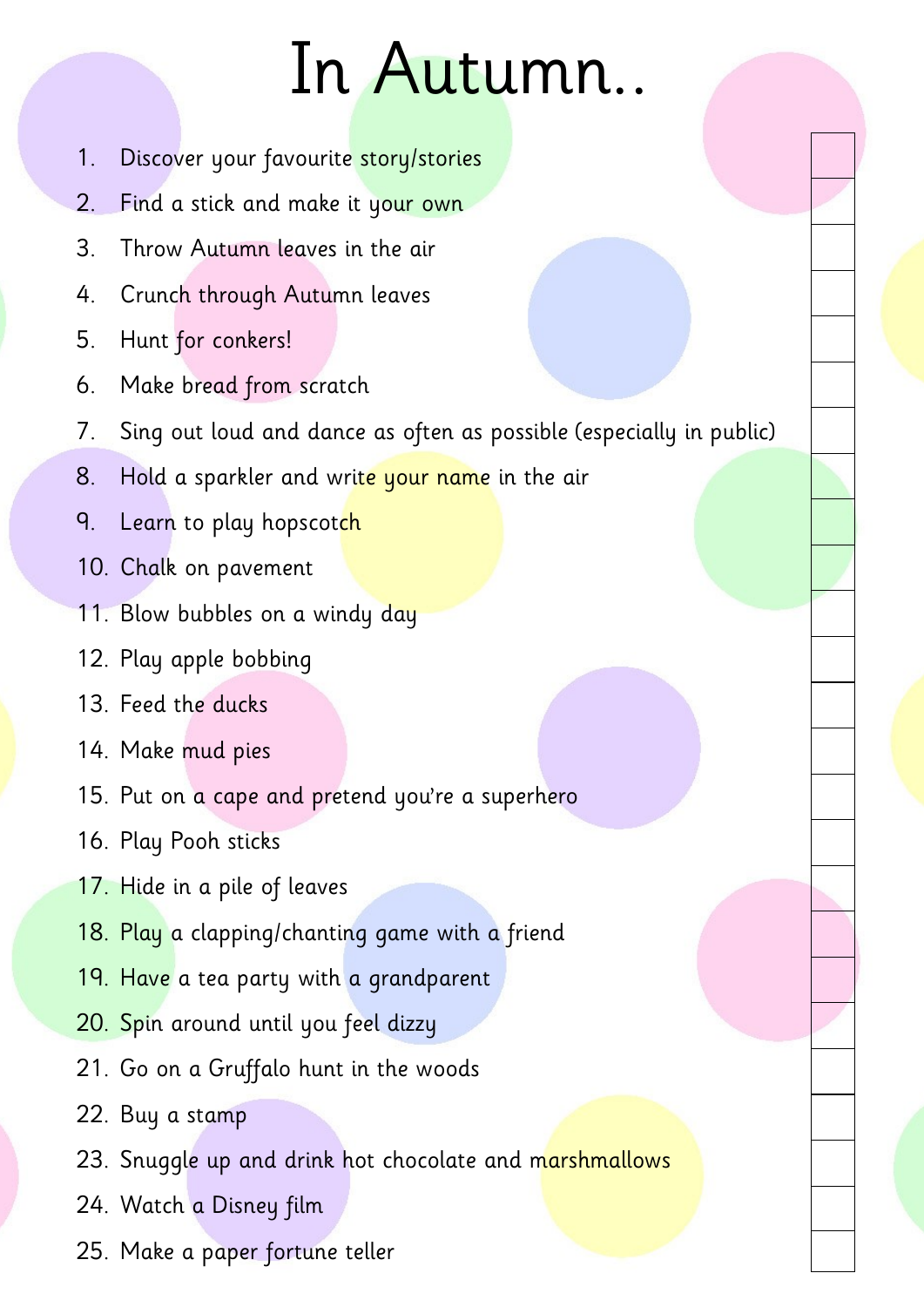## In Autumn..

- 1. Discover your favourite story/stories
- 2. Find a stick and make it your own
- 3. Throw Autumn leaves in the air
- 4. Crunch through Autumn leaves
- 5. Hunt for conkers!
- 6. Make bread from scratch
- 7. Sing out loud and dance as often as possible (especially in public)
- 8. Hold a sparkler and write your name in the air
- 9. Learn to play hopscotch
- 10. Chalk on pavement
- 11. Blow bubbles on a windy day
- 12. Play apple bobbing
- 13. Feed the ducks
- 14. Make mud pies
- 15. Put on a cape and pretend you're a superhero
- 16. Play Pooh sticks
- 17. Hide in a pile of leaves
- 18. Play a clapping/chanting game with a friend
- 19. Have a tea party with a grandparent
- 20. Spin around until you feel dizzy
- 21. Go on a Gruffalo hunt in the woods
- 22. Buy a stamp
- 23. Snuggle up and drink hot chocolate and marshmallows
- 24. Watch a Disney film
- 25. Make a paper fortune teller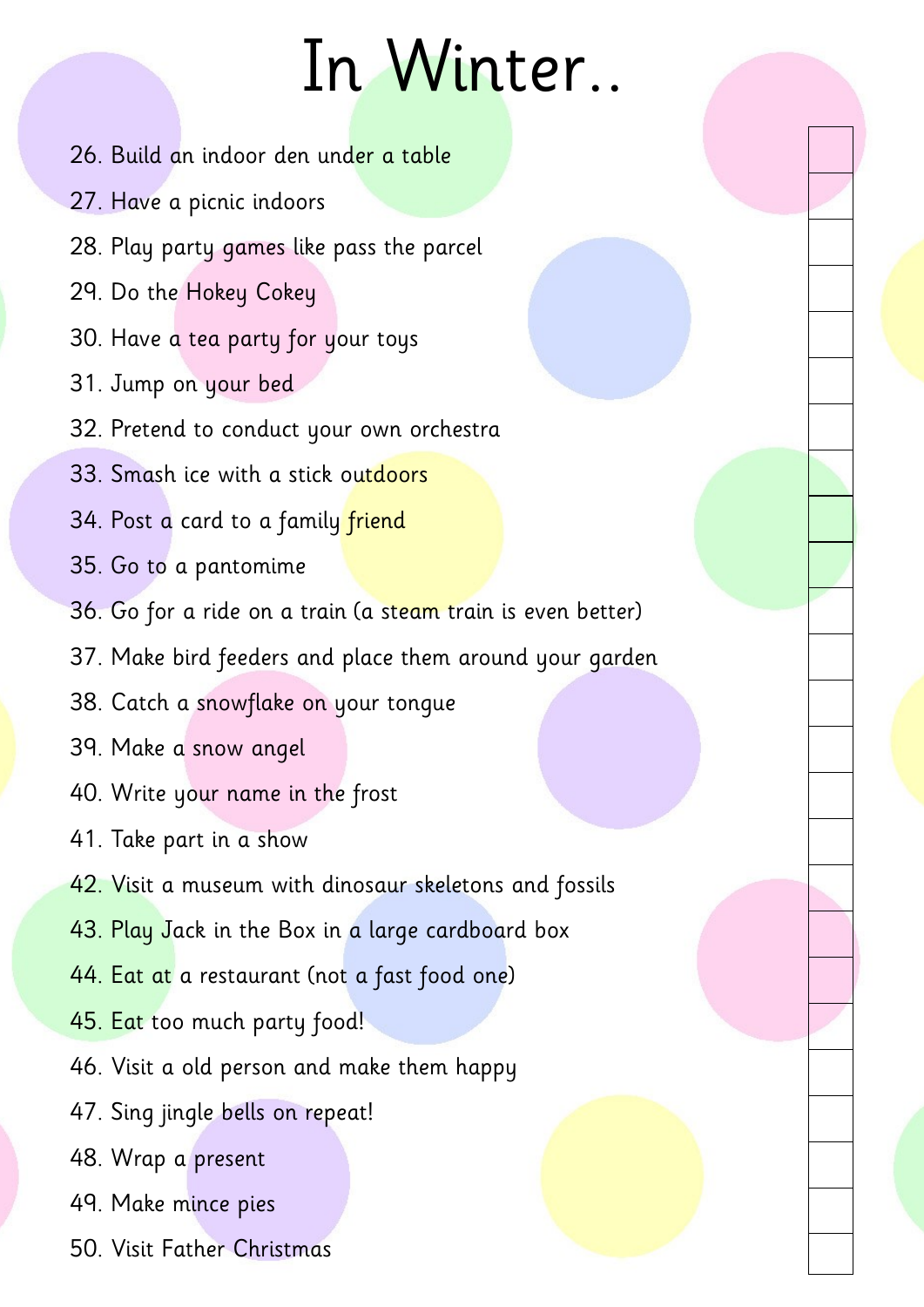## In Winter..

- 26. Build an indoor den under a table
- 27. Have a picnic indoors
- 28. Play party games like pass the parcel
- 29. Do the Hokey Cokey
- 30. Have a tea party for your toys
- 31. Jump on your bed
- 32. Pretend to conduct your own orchestra
- 33. Smash ice with a stick outdoors
- 34. Post a card to a family friend
- 35. Go to a pantomime
- 36. Go for a ride on a train (a steam train is even better)
- 37. Make bird feeders and place them around your garden
- 38. Catch a snowflake on your tongue
- 39. Make a snow angel
- 40. Write your name in the frost
- 41. Take part in a show
- 42. Visit a museum with dinosaur skeletons and fossils
- 43. Play Jack in the Box in a large cardboard box
- 44. Eat at a restaurant (not a fast food one)
- 45. Eat too much party food!
- 46. Visit a old person and make them happy
- 47. Sing jingle bells on repeat!
- 48. Wrap a present
- 49. Make mince pies
- 50. Visit Father Christmas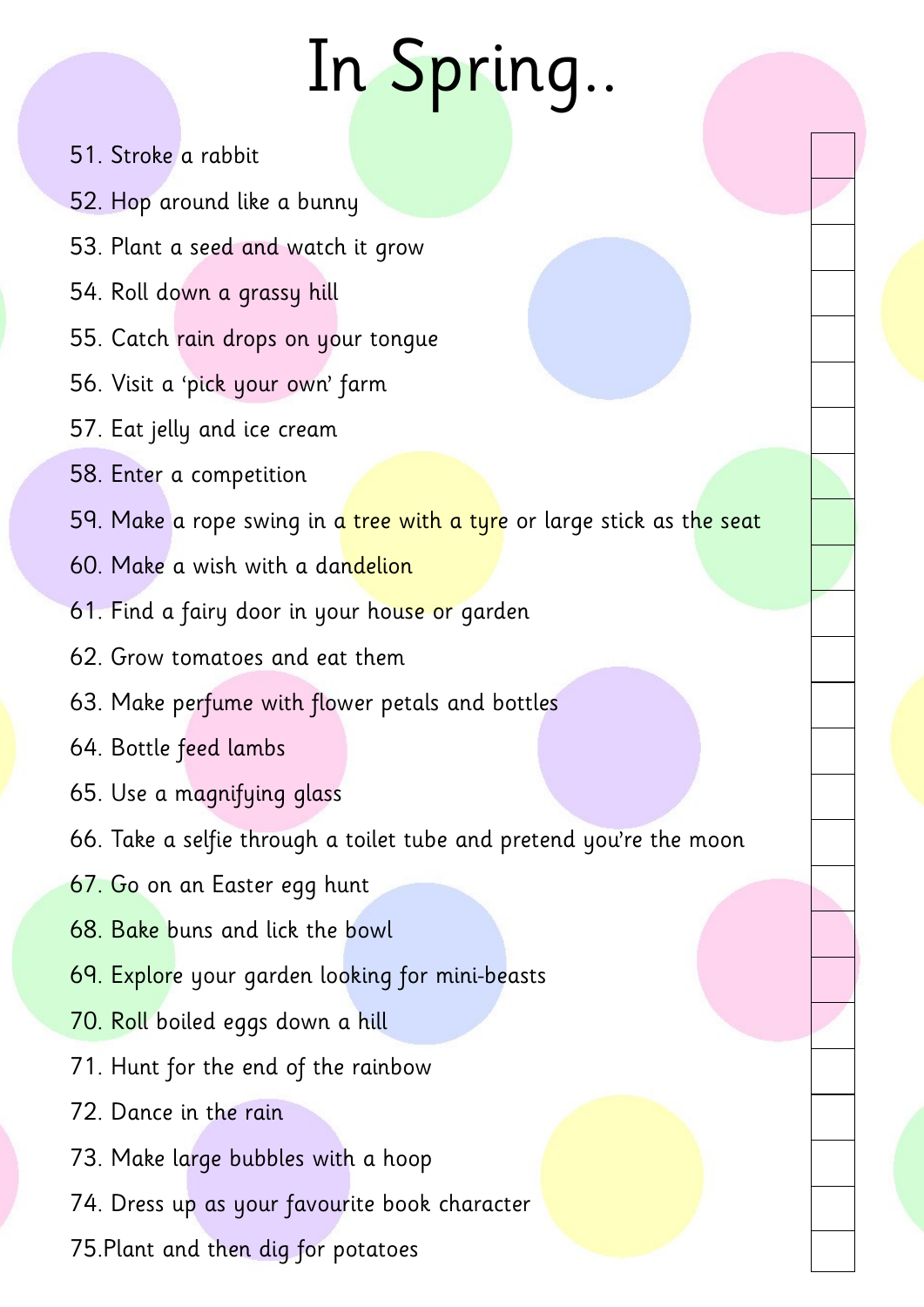## In Spring..

- 51. Stroke a rabbit
- 52. Hop around like a bunny
- 53. Plant a seed and watch it grow
- 54. Roll down a grassy hill
- 55. Catch rain drops on your tongue
- 56. Visit a 'pick your own' farm
- 57. Eat jelly and ice cream
- 58. Enter a competition
- 59. Make a rope swing in a tree with a tyre or large stick as the seat
- 60. Make a wish with a dandelion
- 61. Find a fairy door in your house or garden
- 62. Grow tomatoes and eat them
- 63. Make perfume with flower petals and bottles
- 64. Bottle feed lambs
- 65. Use a magnifying glass
- 66. Take a selfie through a toilet tube and pretend you're the moon
- 67. Go on an Easter egg hunt
- 68. Bake buns and lick the bowl
- 69. Explore your garden looking for mini-beasts
- 70. Roll boiled eggs down a hill
- 71. Hunt for the end of the rainbow
- 72. Dance in the rain
- 73. Make large bubbles with a hoop
- 74. Dress up as your favourite book character
- 75.Plant and then dig for potatoes